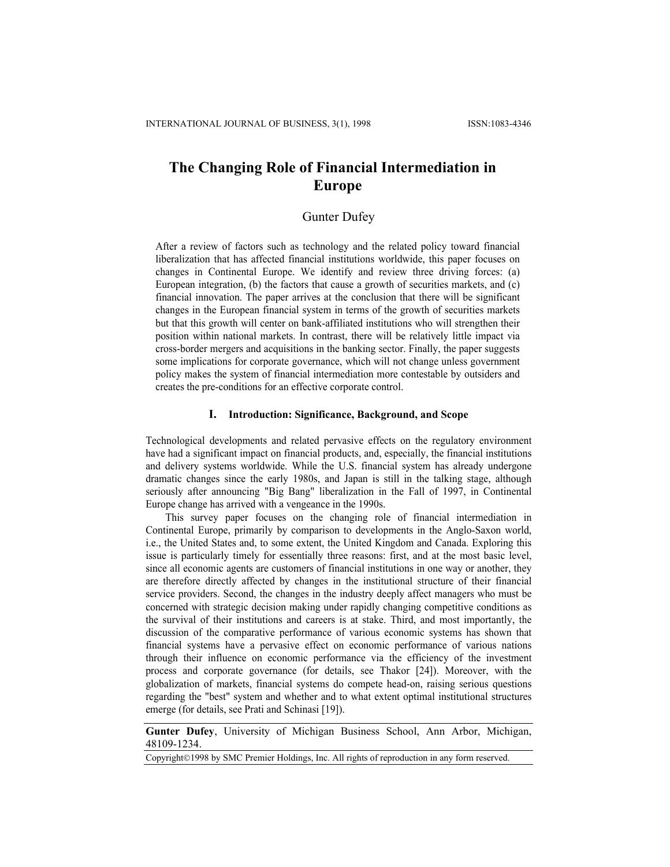# **The Changing Role of Financial Intermediation in Europe**

## Gunter Dufey

After a review of factors such as technology and the related policy toward financial liberalization that has affected financial institutions worldwide, this paper focuses on changes in Continental Europe. We identify and review three driving forces: (a) European integration, (b) the factors that cause a growth of securities markets, and (c) financial innovation. The paper arrives at the conclusion that there will be significant changes in the European financial system in terms of the growth of securities markets but that this growth will center on bank-affiliated institutions who will strengthen their position within national markets. In contrast, there will be relatively little impact via cross-border mergers and acquisitions in the banking sector. Finally, the paper suggests some implications for corporate governance, which will not change unless government policy makes the system of financial intermediation more contestable by outsiders and creates the pre-conditions for an effective corporate control.

### **I. Introduction: Significance, Background, and Scope**

Technological developments and related pervasive effects on the regulatory environment have had a significant impact on financial products, and, especially, the financial institutions and delivery systems worldwide. While the U.S. financial system has already undergone dramatic changes since the early 1980s, and Japan is still in the talking stage, although seriously after announcing "Big Bang" liberalization in the Fall of 1997, in Continental Europe change has arrived with a vengeance in the 1990s.

This survey paper focuses on the changing role of financial intermediation in Continental Europe, primarily by comparison to developments in the Anglo-Saxon world, i.e., the United States and, to some extent, the United Kingdom and Canada. Exploring this issue is particularly timely for essentially three reasons: first, and at the most basic level, since all economic agents are customers of financial institutions in one way or another, they are therefore directly affected by changes in the institutional structure of their financial service providers. Second, the changes in the industry deeply affect managers who must be concerned with strategic decision making under rapidly changing competitive conditions as the survival of their institutions and careers is at stake. Third, and most importantly, the discussion of the comparative performance of various economic systems has shown that financial systems have a pervasive effect on economic performance of various nations through their influence on economic performance via the efficiency of the investment process and corporate governance (for details, see Thakor [24]). Moreover, with the globalization of markets, financial systems do compete head-on, raising serious questions regarding the "best" system and whether and to what extent optimal institutional structures emerge (for details, see Prati and Schinasi [19]).

**Gunter Dufey**, University of Michigan Business School, Ann Arbor, Michigan, 48109-1234.

Copyright©1998 by SMC Premier Holdings, Inc. All rights of reproduction in any form reserved.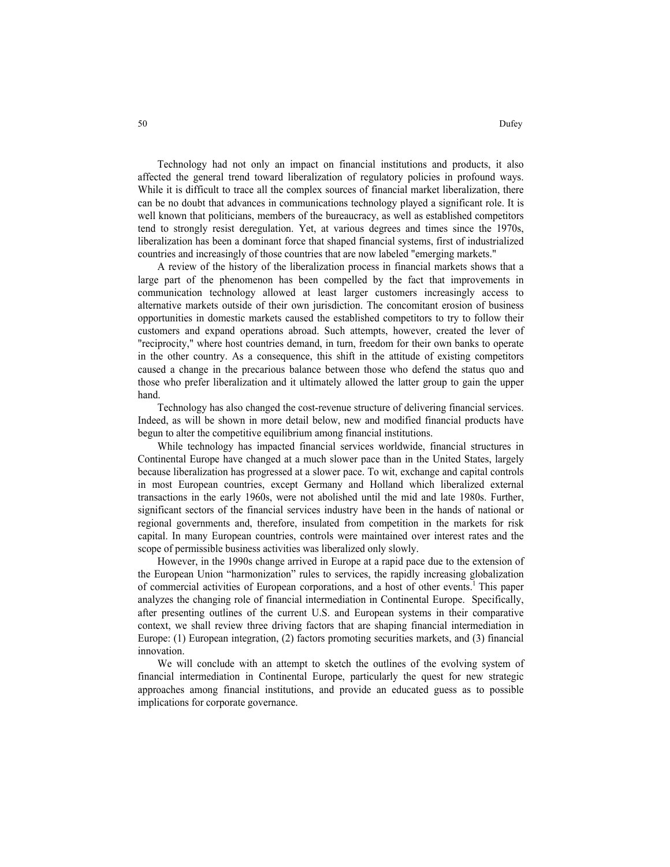Technology had not only an impact on financial institutions and products, it also affected the general trend toward liberalization of regulatory policies in profound ways. While it is difficult to trace all the complex sources of financial market liberalization, there can be no doubt that advances in communications technology played a significant role. It is well known that politicians, members of the bureaucracy, as well as established competitors tend to strongly resist deregulation. Yet, at various degrees and times since the 1970s, liberalization has been a dominant force that shaped financial systems, first of industrialized countries and increasingly of those countries that are now labeled "emerging markets."

A review of the history of the liberalization process in financial markets shows that a large part of the phenomenon has been compelled by the fact that improvements in communication technology allowed at least larger customers increasingly access to alternative markets outside of their own jurisdiction. The concomitant erosion of business opportunities in domestic markets caused the established competitors to try to follow their customers and expand operations abroad. Such attempts, however, created the lever of "reciprocity," where host countries demand, in turn, freedom for their own banks to operate in the other country. As a consequence, this shift in the attitude of existing competitors caused a change in the precarious balance between those who defend the status quo and those who prefer liberalization and it ultimately allowed the latter group to gain the upper hand.

Technology has also changed the cost-revenue structure of delivering financial services. Indeed, as will be shown in more detail below, new and modified financial products have begun to alter the competitive equilibrium among financial institutions.

While technology has impacted financial services worldwide, financial structures in Continental Europe have changed at a much slower pace than in the United States, largely because liberalization has progressed at a slower pace. To wit, exchange and capital controls in most European countries, except Germany and Holland which liberalized external transactions in the early 1960s, were not abolished until the mid and late 1980s. Further, significant sectors of the financial services industry have been in the hands of national or regional governments and, therefore, insulated from competition in the markets for risk capital. In many European countries, controls were maintained over interest rates and the scope of permissible business activities was liberalized only slowly.

However, in the 1990s change arrived in Europe at a rapid pace due to the extension of the European Union "harmonization" rules to services, the rapidly increasing globalization of commercial activities of European corporations, and a host of other events.1 This paper analyzes the changing role of financial intermediation in Continental Europe. Specifically, after presenting outlines of the current U.S. and European systems in their comparative context, we shall review three driving factors that are shaping financial intermediation in Europe: (1) European integration, (2) factors promoting securities markets, and (3) financial innovation.

We will conclude with an attempt to sketch the outlines of the evolving system of financial intermediation in Continental Europe, particularly the quest for new strategic approaches among financial institutions, and provide an educated guess as to possible implications for corporate governance.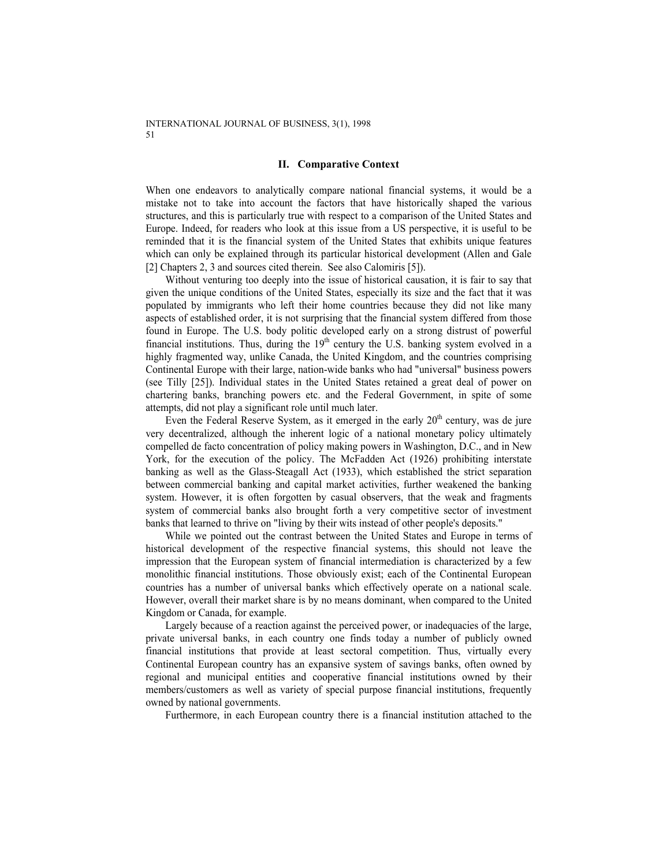### **II. Comparative Context**

When one endeavors to analytically compare national financial systems, it would be a mistake not to take into account the factors that have historically shaped the various structures, and this is particularly true with respect to a comparison of the United States and Europe. Indeed, for readers who look at this issue from a US perspective, it is useful to be reminded that it is the financial system of the United States that exhibits unique features which can only be explained through its particular historical development (Allen and Gale [2] Chapters 2, 3 and sources cited therein. See also Calomiris [5]).

Without venturing too deeply into the issue of historical causation, it is fair to say that given the unique conditions of the United States, especially its size and the fact that it was populated by immigrants who left their home countries because they did not like many aspects of established order, it is not surprising that the financial system differed from those found in Europe. The U.S. body politic developed early on a strong distrust of powerful financial institutions. Thus, during the  $19<sup>th</sup>$  century the U.S. banking system evolved in a highly fragmented way, unlike Canada, the United Kingdom, and the countries comprising Continental Europe with their large, nation-wide banks who had "universal" business powers (see Tilly [25]). Individual states in the United States retained a great deal of power on chartering banks, branching powers etc. and the Federal Government, in spite of some attempts, did not play a significant role until much later.

Even the Federal Reserve System, as it emerged in the early  $20<sup>th</sup>$  century, was de jure very decentralized, although the inherent logic of a national monetary policy ultimately compelled de facto concentration of policy making powers in Washington, D.C., and in New York, for the execution of the policy. The McFadden Act (1926) prohibiting interstate banking as well as the Glass-Steagall Act (1933), which established the strict separation between commercial banking and capital market activities, further weakened the banking system. However, it is often forgotten by casual observers, that the weak and fragments system of commercial banks also brought forth a very competitive sector of investment banks that learned to thrive on "living by their wits instead of other people's deposits."

While we pointed out the contrast between the United States and Europe in terms of historical development of the respective financial systems, this should not leave the impression that the European system of financial intermediation is characterized by a few monolithic financial institutions. Those obviously exist; each of the Continental European countries has a number of universal banks which effectively operate on a national scale. However, overall their market share is by no means dominant, when compared to the United Kingdom or Canada, for example.

Largely because of a reaction against the perceived power, or inadequacies of the large, private universal banks, in each country one finds today a number of publicly owned financial institutions that provide at least sectoral competition. Thus, virtually every Continental European country has an expansive system of savings banks, often owned by regional and municipal entities and cooperative financial institutions owned by their members/customers as well as variety of special purpose financial institutions, frequently owned by national governments.

Furthermore, in each European country there is a financial institution attached to the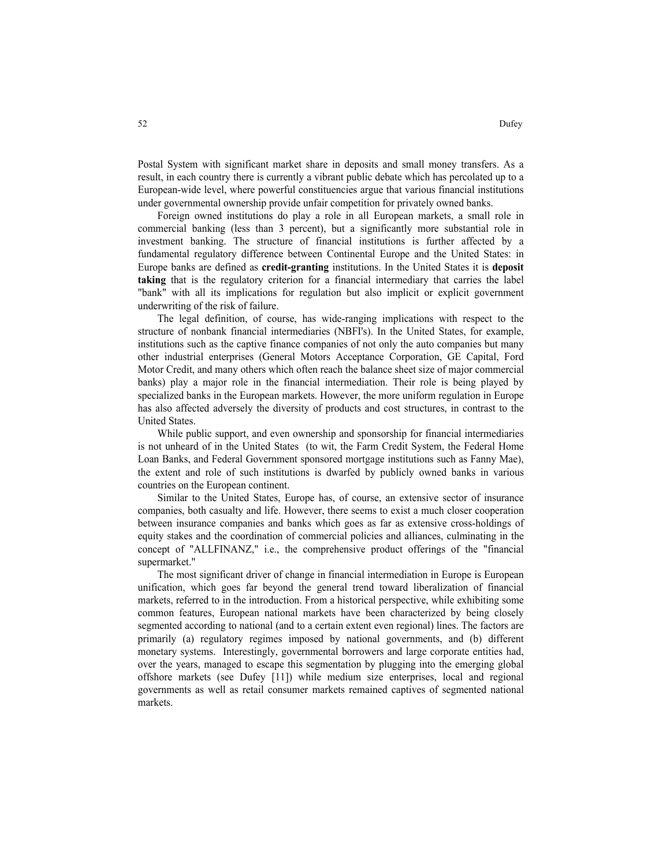Postal System with significant market share in deposits and small money transfers. As a result, in each country there is currently a vibrant public debate which has percolated up to a European-wide level, where powerful constituencies argue that various financial institutions under governmental ownership provide unfair competition for privately owned banks.

Foreign owned institutions do play a role in all European markets, a small role in commercial banking (less than 3 percent), but a significantly more substantial role in investment banking. The structure of financial institutions is further affected by a fundamental regulatory difference between Continental Europe and the United States: in Europe banks are defined as **credit-granting** institutions. In the United States it is **deposit taking** that is the regulatory criterion for a financial intermediary that carries the label "bank" with all its implications for regulation but also implicit or explicit government underwriting of the risk of failure.

The legal definition, of course, has wide-ranging implications with respect to the structure of nonbank financial intermediaries (NBFI's). In the United States, for example, institutions such as the captive finance companies of not only the auto companies but many other industrial enterprises (General Motors Acceptance Corporation, GE Capital, Ford Motor Credit, and many others which often reach the balance sheet size of major commercial banks) play a major role in the financial intermediation. Their role is being played by specialized banks in the European markets. However, the more uniform regulation in Europe has also affected adversely the diversity of products and cost structures, in contrast to the United States.

While public support, and even ownership and sponsorship for financial intermediaries is not unheard of in the United States (to wit, the Farm Credit System, the Federal Home Loan Banks, and Federal Government sponsored mortgage institutions such as Fanny Mae), the extent and role of such institutions is dwarfed by publicly owned banks in various countries on the European continent.

Similar to the United States, Europe has, of course, an extensive sector of insurance companies, both casualty and life. However, there seems to exist a much closer cooperation between insurance companies and banks which goes as far as extensive cross-holdings of equity stakes and the coordination of commercial policies and alliances, culminating in the concept of "ALLFINANZ," i.e., the comprehensive product offerings of the "financial supermarket."

The most significant driver of change in financial intermediation in Europe is European unification, which goes far beyond the general trend toward liberalization of financial markets, referred to in the introduction. From a historical perspective, while exhibiting some common features, European national markets have been characterized by being closely segmented according to national (and to a certain extent even regional) lines. The factors are primarily (a) regulatory regimes imposed by national governments, and (b) different monetary systems. Interestingly, governmental borrowers and large corporate entities had, over the years, managed to escape this segmentation by plugging into the emerging global offshore markets (see Dufey [11]) while medium size enterprises, local and regional governments as well as retail consumer markets remained captives of segmented national markets.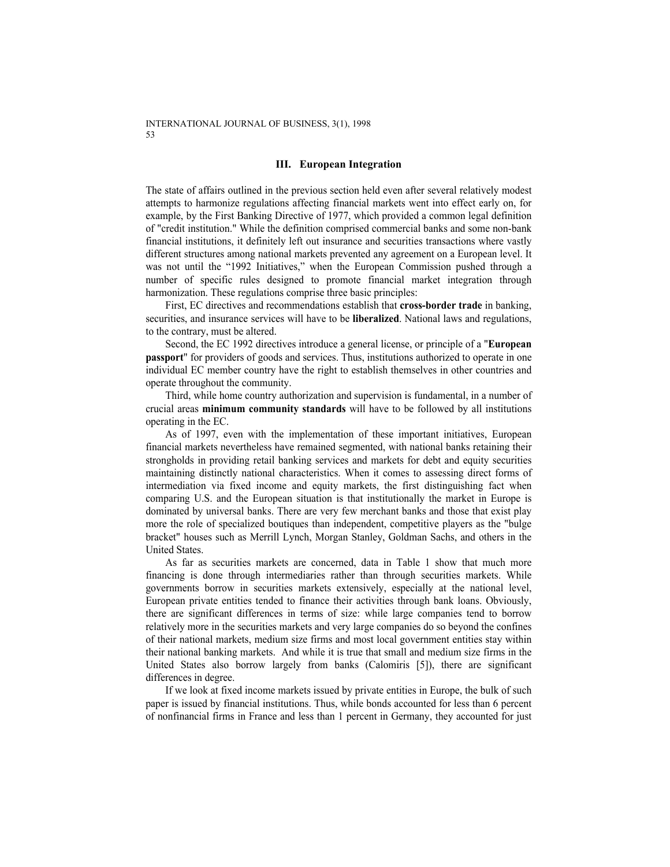### **III. European Integration**

The state of affairs outlined in the previous section held even after several relatively modest attempts to harmonize regulations affecting financial markets went into effect early on, for example, by the First Banking Directive of 1977, which provided a common legal definition of "credit institution." While the definition comprised commercial banks and some non-bank financial institutions, it definitely left out insurance and securities transactions where vastly different structures among national markets prevented any agreement on a European level. It was not until the "1992 Initiatives," when the European Commission pushed through a number of specific rules designed to promote financial market integration through harmonization. These regulations comprise three basic principles:

First, EC directives and recommendations establish that **cross-border trade** in banking, securities, and insurance services will have to be **liberalized**. National laws and regulations, to the contrary, must be altered.

Second, the EC 1992 directives introduce a general license, or principle of a "**European passport**" for providers of goods and services. Thus, institutions authorized to operate in one individual EC member country have the right to establish themselves in other countries and operate throughout the community.

Third, while home country authorization and supervision is fundamental, in a number of crucial areas **minimum community standards** will have to be followed by all institutions operating in the EC.

As of 1997, even with the implementation of these important initiatives, European financial markets nevertheless have remained segmented, with national banks retaining their strongholds in providing retail banking services and markets for debt and equity securities maintaining distinctly national characteristics. When it comes to assessing direct forms of intermediation via fixed income and equity markets, the first distinguishing fact when comparing U.S. and the European situation is that institutionally the market in Europe is dominated by universal banks. There are very few merchant banks and those that exist play more the role of specialized boutiques than independent, competitive players as the "bulge bracket" houses such as Merrill Lynch, Morgan Stanley, Goldman Sachs, and others in the United States.

As far as securities markets are concerned, data in Table 1 show that much more financing is done through intermediaries rather than through securities markets. While governments borrow in securities markets extensively, especially at the national level, European private entities tended to finance their activities through bank loans. Obviously, there are significant differences in terms of size: while large companies tend to borrow relatively more in the securities markets and very large companies do so beyond the confines of their national markets, medium size firms and most local government entities stay within their national banking markets. And while it is true that small and medium size firms in the United States also borrow largely from banks (Calomiris [5]), there are significant differences in degree.

If we look at fixed income markets issued by private entities in Europe, the bulk of such paper is issued by financial institutions. Thus, while bonds accounted for less than 6 percent of nonfinancial firms in France and less than 1 percent in Germany, they accounted for just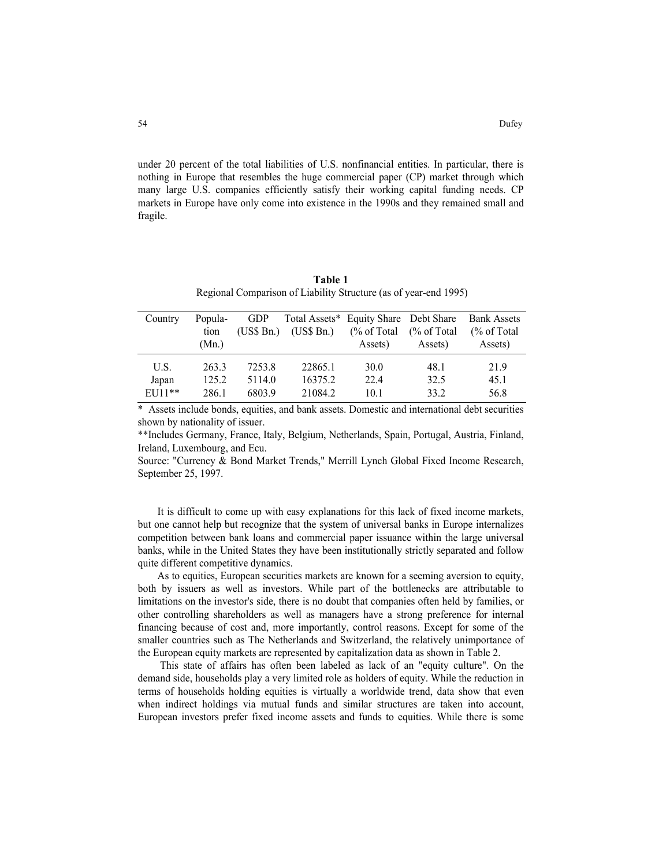under 20 percent of the total liabilities of U.S. nonfinancial entities. In particular, there is nothing in Europe that resembles the huge commercial paper (CP) market through which many large U.S. companies efficiently satisfy their working capital funding needs. CP markets in Europe have only come into existence in the 1990s and they remained small and fragile.

| Table 1                                                          |
|------------------------------------------------------------------|
| Regional Comparison of Liability Structure (as of year-end 1995) |

| Country | Popula-<br>tion | <b>GDP</b><br>(US\$Bn.) | (US\$Bn.) | Total Assets* Equity Share Debt Share<br>$\frac{6}{6}$ of Total | $\frac{6}{6}$ of Total | <b>Bank Assets</b><br>$\frac{6}{6}$ of Total |
|---------|-----------------|-------------------------|-----------|-----------------------------------------------------------------|------------------------|----------------------------------------------|
|         | (Mn.)           |                         |           | Assets)                                                         | Assets)                | Assets)                                      |
| U.S.    | 2633            | 7253.8                  | 22865.1   | 30.0                                                            | 48.1                   | 21.9                                         |
| Japan   | 125.2           | 5114.0                  | 16375.2   | 22.4                                                            | 32.5                   | 45.1                                         |
| EU11**  | 286.1           | 6803.9                  | 21084.2   | 10.1                                                            | 33.2                   | 56.8                                         |

\* Assets include bonds, equities, and bank assets. Domestic and international debt securities shown by nationality of issuer.

\*\*Includes Germany, France, Italy, Belgium, Netherlands, Spain, Portugal, Austria, Finland, Ireland, Luxembourg, and Ecu.

Source: "Currency & Bond Market Trends," Merrill Lynch Global Fixed Income Research, September 25, 1997.

It is difficult to come up with easy explanations for this lack of fixed income markets, but one cannot help but recognize that the system of universal banks in Europe internalizes competition between bank loans and commercial paper issuance within the large universal banks, while in the United States they have been institutionally strictly separated and follow quite different competitive dynamics.

As to equities, European securities markets are known for a seeming aversion to equity, both by issuers as well as investors. While part of the bottlenecks are attributable to limitations on the investor's side, there is no doubt that companies often held by families, or other controlling shareholders as well as managers have a strong preference for internal financing because of cost and, more importantly, control reasons. Except for some of the smaller countries such as The Netherlands and Switzerland, the relatively unimportance of the European equity markets are represented by capitalization data as shown in Table 2.

 This state of affairs has often been labeled as lack of an "equity culture". On the demand side, households play a very limited role as holders of equity. While the reduction in terms of households holding equities is virtually a worldwide trend, data show that even when indirect holdings via mutual funds and similar structures are taken into account, European investors prefer fixed income assets and funds to equities. While there is some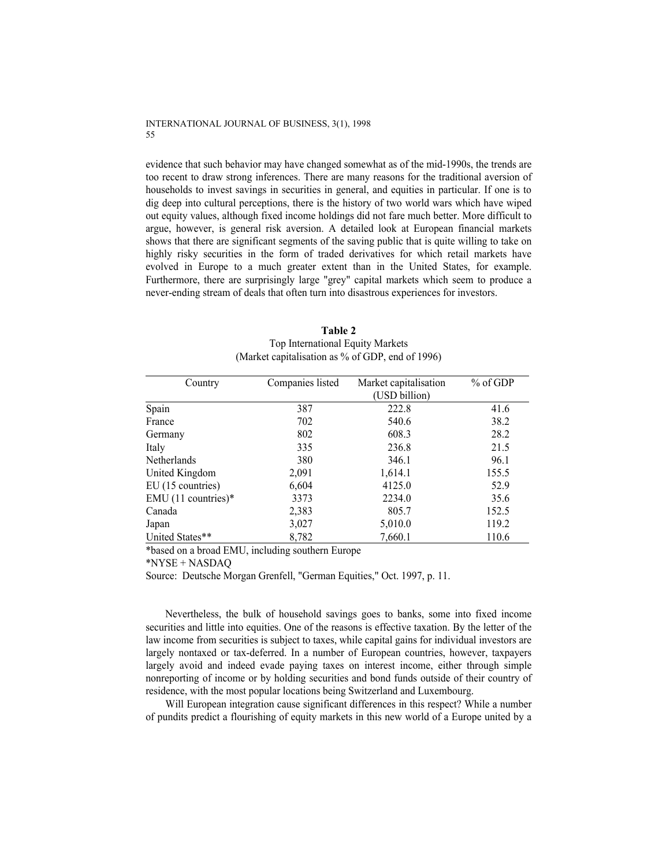evidence that such behavior may have changed somewhat as of the mid-1990s, the trends are too recent to draw strong inferences. There are many reasons for the traditional aversion of households to invest savings in securities in general, and equities in particular. If one is to dig deep into cultural perceptions, there is the history of two world wars which have wiped out equity values, although fixed income holdings did not fare much better. More difficult to argue, however, is general risk aversion. A detailed look at European financial markets shows that there are significant segments of the saving public that is quite willing to take on highly risky securities in the form of traded derivatives for which retail markets have evolved in Europe to a much greater extent than in the United States, for example. Furthermore, there are surprisingly large "grey" capital markets which seem to produce a never-ending stream of deals that often turn into disastrous experiences for investors.

| Country             | Companies listed | Market capitalisation | $%$ of GDP |
|---------------------|------------------|-----------------------|------------|
|                     |                  | (USD billion)         |            |
| Spain               | 387              | 222.8                 | 41.6       |
| France              | 702              | 540.6                 | 38.2       |
| Germany             | 802              | 608.3                 | 28.2       |
| Italy               | 335              | 236.8                 | 21.5       |
| <b>Netherlands</b>  | 380              | 346.1                 | 96.1       |
| United Kingdom      | 2,091            | 1,614.1               | 155.5      |
| EU (15 countries)   | 6,604            | 4125.0                | 52.9       |
| EMU (11 countries)* | 3373             | 2234.0                | 35.6       |
| Canada              | 2,383            | 805.7                 | 152.5      |
| Japan               | 3,027            | 5,010.0               | 119.2      |
| United States**     | 8,782            | 7,660.1               | 110.6      |

**Table 2**  Top International Equity Markets (Market capitalisation as % of GDP, end of 1996)

\*based on a broad EMU, including southern Europe

\*NYSE + NASDAQ

Source: Deutsche Morgan Grenfell, "German Equities," Oct. 1997, p. 11.

Nevertheless, the bulk of household savings goes to banks, some into fixed income securities and little into equities. One of the reasons is effective taxation. By the letter of the law income from securities is subject to taxes, while capital gains for individual investors are largely nontaxed or tax-deferred. In a number of European countries, however, taxpayers largely avoid and indeed evade paying taxes on interest income, either through simple nonreporting of income or by holding securities and bond funds outside of their country of residence, with the most popular locations being Switzerland and Luxembourg.

Will European integration cause significant differences in this respect? While a number of pundits predict a flourishing of equity markets in this new world of a Europe united by a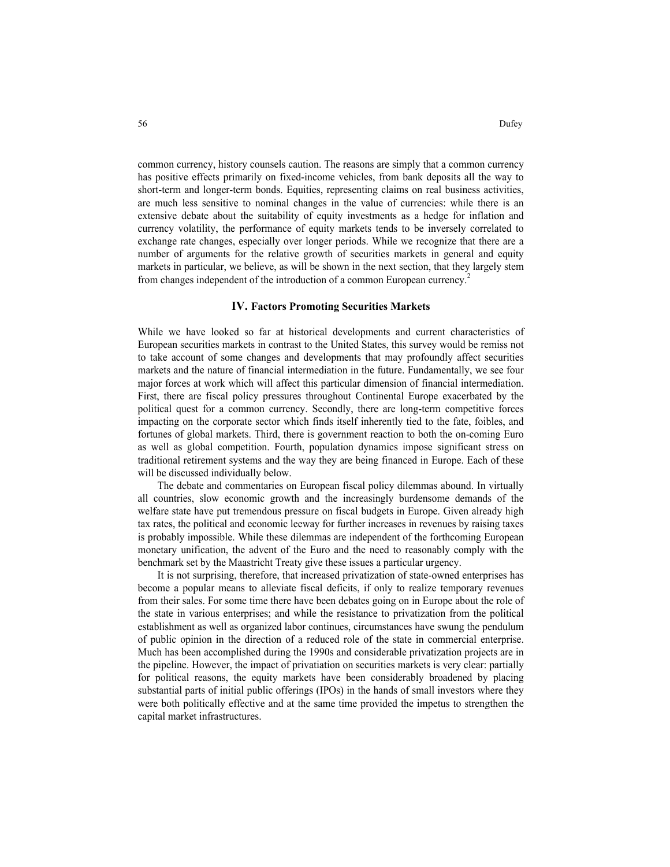common currency, history counsels caution. The reasons are simply that a common currency has positive effects primarily on fixed-income vehicles, from bank deposits all the way to short-term and longer-term bonds. Equities, representing claims on real business activities, are much less sensitive to nominal changes in the value of currencies: while there is an extensive debate about the suitability of equity investments as a hedge for inflation and currency volatility, the performance of equity markets tends to be inversely correlated to exchange rate changes, especially over longer periods. While we recognize that there are a number of arguments for the relative growth of securities markets in general and equity markets in particular, we believe, as will be shown in the next section, that they largely stem from changes independent of the introduction of a common European currency.<sup>2</sup>

### **IV. Factors Promoting Securities Markets**

While we have looked so far at historical developments and current characteristics of European securities markets in contrast to the United States, this survey would be remiss not to take account of some changes and developments that may profoundly affect securities markets and the nature of financial intermediation in the future. Fundamentally, we see four major forces at work which will affect this particular dimension of financial intermediation. First, there are fiscal policy pressures throughout Continental Europe exacerbated by the political quest for a common currency. Secondly, there are long-term competitive forces impacting on the corporate sector which finds itself inherently tied to the fate, foibles, and fortunes of global markets. Third, there is government reaction to both the on-coming Euro as well as global competition. Fourth, population dynamics impose significant stress on traditional retirement systems and the way they are being financed in Europe. Each of these will be discussed individually below.

The debate and commentaries on European fiscal policy dilemmas abound. In virtually all countries, slow economic growth and the increasingly burdensome demands of the welfare state have put tremendous pressure on fiscal budgets in Europe. Given already high tax rates, the political and economic leeway for further increases in revenues by raising taxes is probably impossible. While these dilemmas are independent of the forthcoming European monetary unification, the advent of the Euro and the need to reasonably comply with the benchmark set by the Maastricht Treaty give these issues a particular urgency.

It is not surprising, therefore, that increased privatization of state-owned enterprises has become a popular means to alleviate fiscal deficits, if only to realize temporary revenues from their sales. For some time there have been debates going on in Europe about the role of the state in various enterprises; and while the resistance to privatization from the political establishment as well as organized labor continues, circumstances have swung the pendulum of public opinion in the direction of a reduced role of the state in commercial enterprise. Much has been accomplished during the 1990s and considerable privatization projects are in the pipeline. However, the impact of privatiation on securities markets is very clear: partially for political reasons, the equity markets have been considerably broadened by placing substantial parts of initial public offerings (IPOs) in the hands of small investors where they were both politically effective and at the same time provided the impetus to strengthen the capital market infrastructures.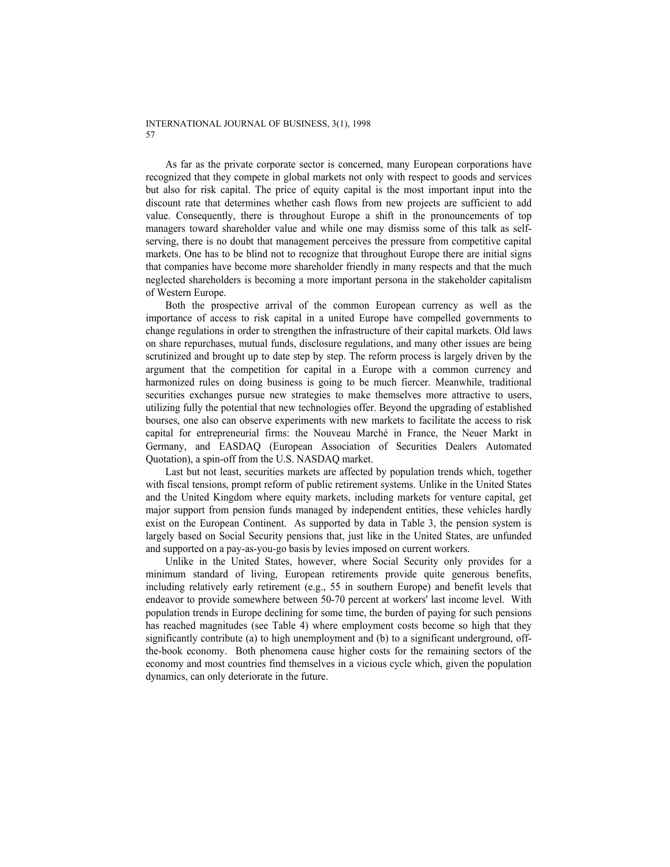As far as the private corporate sector is concerned, many European corporations have recognized that they compete in global markets not only with respect to goods and services but also for risk capital. The price of equity capital is the most important input into the discount rate that determines whether cash flows from new projects are sufficient to add value. Consequently, there is throughout Europe a shift in the pronouncements of top managers toward shareholder value and while one may dismiss some of this talk as selfserving, there is no doubt that management perceives the pressure from competitive capital markets. One has to be blind not to recognize that throughout Europe there are initial signs that companies have become more shareholder friendly in many respects and that the much neglected shareholders is becoming a more important persona in the stakeholder capitalism of Western Europe.

Both the prospective arrival of the common European currency as well as the importance of access to risk capital in a united Europe have compelled governments to change regulations in order to strengthen the infrastructure of their capital markets. Old laws on share repurchases, mutual funds, disclosure regulations, and many other issues are being scrutinized and brought up to date step by step. The reform process is largely driven by the argument that the competition for capital in a Europe with a common currency and harmonized rules on doing business is going to be much fiercer. Meanwhile, traditional securities exchanges pursue new strategies to make themselves more attractive to users, utilizing fully the potential that new technologies offer. Beyond the upgrading of established bourses, one also can observe experiments with new markets to facilitate the access to risk capital for entrepreneurial firms: the Nouveau Marché in France, the Neuer Markt in Germany, and EASDAQ (European Association of Securities Dealers Automated Quotation), a spin-off from the U.S. NASDAQ market.

Last but not least, securities markets are affected by population trends which, together with fiscal tensions, prompt reform of public retirement systems. Unlike in the United States and the United Kingdom where equity markets, including markets for venture capital, get major support from pension funds managed by independent entities, these vehicles hardly exist on the European Continent. As supported by data in Table 3, the pension system is largely based on Social Security pensions that, just like in the United States, are unfunded and supported on a pay-as-you-go basis by levies imposed on current workers.

Unlike in the United States, however, where Social Security only provides for a minimum standard of living, European retirements provide quite generous benefits, including relatively early retirement (e.g., 55 in southern Europe) and benefit levels that endeavor to provide somewhere between 50-70 percent at workers' last income level. With population trends in Europe declining for some time, the burden of paying for such pensions has reached magnitudes (see Table 4) where employment costs become so high that they significantly contribute (a) to high unemployment and (b) to a significant underground, offthe-book economy. Both phenomena cause higher costs for the remaining sectors of the economy and most countries find themselves in a vicious cycle which, given the population dynamics, can only deteriorate in the future.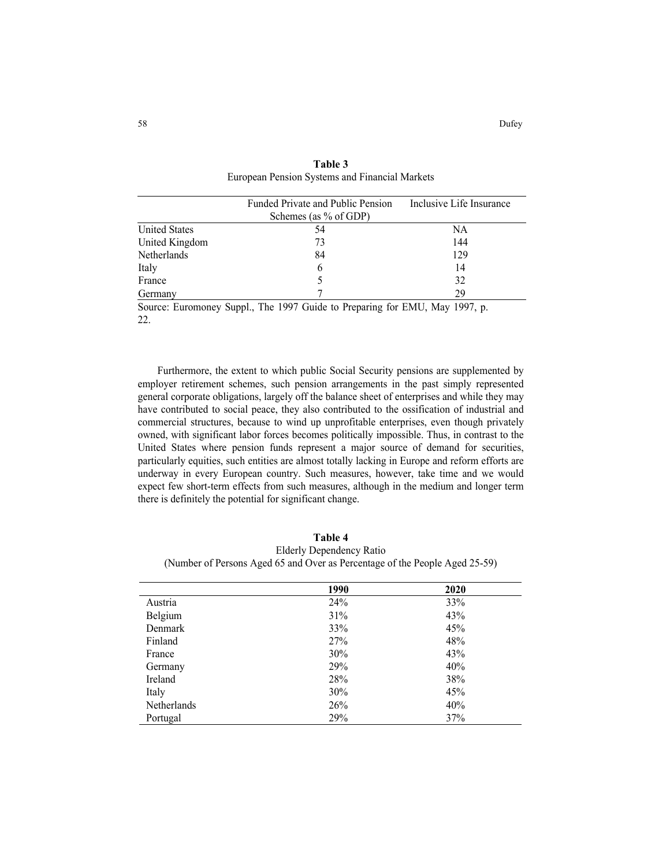|                                    | Funded Private and Public Pension                              | Inclusive Life Insurance       |
|------------------------------------|----------------------------------------------------------------|--------------------------------|
|                                    | Schemes (as % of GDP)                                          |                                |
| <b>United States</b>               | 54                                                             | NA                             |
| United Kingdom                     | 73                                                             | 144                            |
| Netherlands                        | 84                                                             | 129                            |
| Italy                              | b                                                              | 14                             |
| France                             |                                                                | 32                             |
| Germany                            |                                                                | 29                             |
| $\sim$<br>$\overline{\phantom{0}}$ | $\sim$<br>$\sim$<br>$-1$<br>$\sim$ $\sim$ $\sim$ $\sim$ $\sim$ | ------<br>$\sim$ $\sim$ $\sim$ |

**Table 3**  European Pension Systems and Financial Markets

Source: Euromoney Suppl., The 1997 Guide to Preparing for EMU, May 1997, p. 22.

Furthermore, the extent to which public Social Security pensions are supplemented by employer retirement schemes, such pension arrangements in the past simply represented general corporate obligations, largely off the balance sheet of enterprises and while they may have contributed to social peace, they also contributed to the ossification of industrial and commercial structures, because to wind up unprofitable enterprises, even though privately owned, with significant labor forces becomes politically impossible. Thus, in contrast to the United States where pension funds represent a major source of demand for securities, particularly equities, such entities are almost totally lacking in Europe and reform efforts are underway in every European country. Such measures, however, take time and we would expect few short-term effects from such measures, although in the medium and longer term there is definitely the potential for significant change.

**Table 4**  Elderly Dependency Ratio (Number of Persons Aged 65 and Over as Percentage of the People Aged 25-59)

|             | 1990 | 2020 |  |
|-------------|------|------|--|
| Austria     | 24%  | 33%  |  |
| Belgium     | 31%  | 43%  |  |
| Denmark     | 33%  | 45%  |  |
| Finland     | 27%  | 48%  |  |
| France      | 30%  | 43%  |  |
| Germany     | 29%  | 40%  |  |
| Ireland     | 28%  | 38%  |  |
| Italy       | 30%  | 45%  |  |
| Netherlands | 26%  | 40%  |  |
| Portugal    | 29%  | 37%  |  |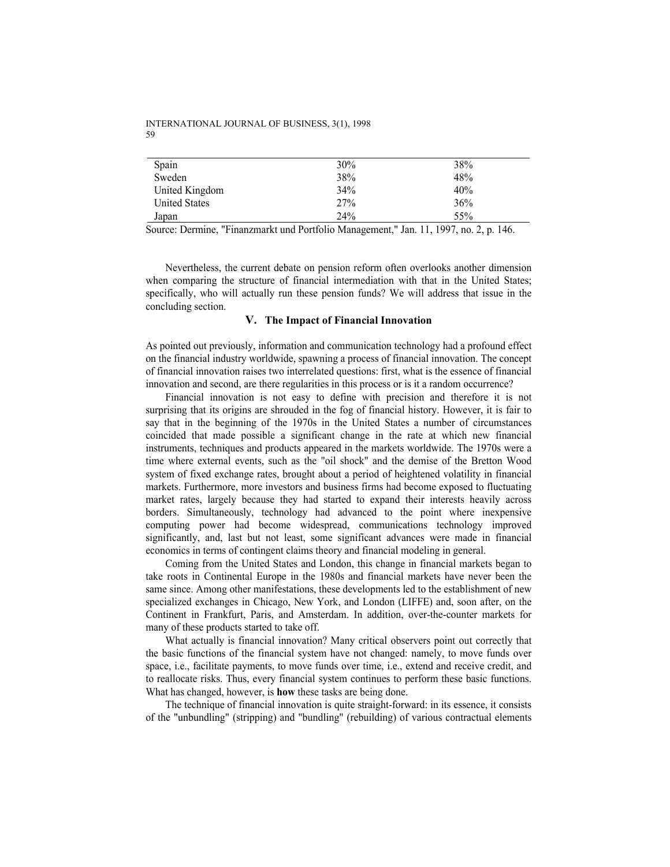| Spain                | 30% | 38% |
|----------------------|-----|-----|
| Sweden               | 38% | 48% |
| United Kingdom       | 34% | 40% |
| <b>United States</b> | 27% | 36% |
| Japan                | 24% | 55% |
|                      |     |     |

Source: Dermine, "Finanzmarkt und Portfolio Management," Jan. 11, 1997, no. 2, p. 146.

Nevertheless, the current debate on pension reform often overlooks another dimension when comparing the structure of financial intermediation with that in the United States; specifically, who will actually run these pension funds? We will address that issue in the concluding section.

### **V. The Impact of Financial Innovation**

As pointed out previously, information and communication technology had a profound effect on the financial industry worldwide, spawning a process of financial innovation. The concept of financial innovation raises two interrelated questions: first, what is the essence of financial innovation and second, are there regularities in this process or is it a random occurrence?

Financial innovation is not easy to define with precision and therefore it is not surprising that its origins are shrouded in the fog of financial history. However, it is fair to say that in the beginning of the 1970s in the United States a number of circumstances coincided that made possible a significant change in the rate at which new financial instruments, techniques and products appeared in the markets worldwide. The 1970s were a time where external events, such as the "oil shock" and the demise of the Bretton Wood system of fixed exchange rates, brought about a period of heightened volatility in financial markets. Furthermore, more investors and business firms had become exposed to fluctuating market rates, largely because they had started to expand their interests heavily across borders. Simultaneously, technology had advanced to the point where inexpensive computing power had become widespread, communications technology improved significantly, and, last but not least, some significant advances were made in financial economics in terms of contingent claims theory and financial modeling in general.

Coming from the United States and London, this change in financial markets began to take roots in Continental Europe in the 1980s and financial markets have never been the same since. Among other manifestations, these developments led to the establishment of new specialized exchanges in Chicago, New York, and London (LIFFE) and, soon after, on the Continent in Frankfurt, Paris, and Amsterdam. In addition, over-the-counter markets for many of these products started to take off.

What actually is financial innovation? Many critical observers point out correctly that the basic functions of the financial system have not changed: namely, to move funds over space, i.e., facilitate payments, to move funds over time, i.e., extend and receive credit, and to reallocate risks. Thus, every financial system continues to perform these basic functions. What has changed, however, is **how** these tasks are being done.

The technique of financial innovation is quite straight-forward: in its essence, it consists of the "unbundling" (stripping) and "bundling" (rebuilding) of various contractual elements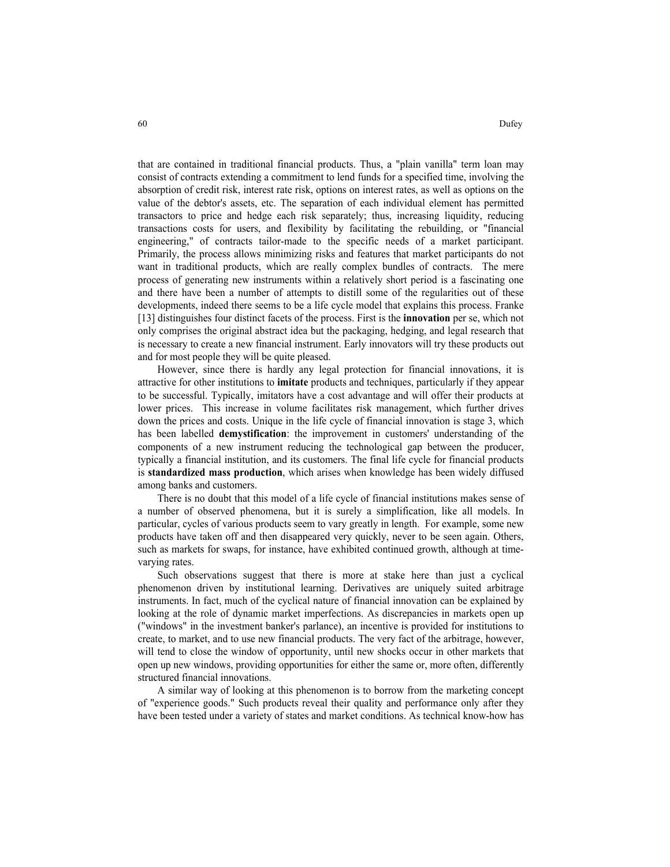that are contained in traditional financial products. Thus, a "plain vanilla" term loan may consist of contracts extending a commitment to lend funds for a specified time, involving the absorption of credit risk, interest rate risk, options on interest rates, as well as options on the value of the debtor's assets, etc. The separation of each individual element has permitted transactors to price and hedge each risk separately; thus, increasing liquidity, reducing transactions costs for users, and flexibility by facilitating the rebuilding, or "financial engineering," of contracts tailor-made to the specific needs of a market participant. Primarily, the process allows minimizing risks and features that market participants do not want in traditional products, which are really complex bundles of contracts. The mere process of generating new instruments within a relatively short period is a fascinating one and there have been a number of attempts to distill some of the regularities out of these developments, indeed there seems to be a life cycle model that explains this process. Franke [13] distinguishes four distinct facets of the process. First is the **innovation** per se, which not only comprises the original abstract idea but the packaging, hedging, and legal research that is necessary to create a new financial instrument. Early innovators will try these products out and for most people they will be quite pleased.

However, since there is hardly any legal protection for financial innovations, it is attractive for other institutions to **imitate** products and techniques, particularly if they appear to be successful. Typically, imitators have a cost advantage and will offer their products at lower prices. This increase in volume facilitates risk management, which further drives down the prices and costs. Unique in the life cycle of financial innovation is stage 3, which has been labelled **demystification**: the improvement in customers' understanding of the components of a new instrument reducing the technological gap between the producer, typically a financial institution, and its customers. The final life cycle for financial products is **standardized mass production**, which arises when knowledge has been widely diffused among banks and customers.

There is no doubt that this model of a life cycle of financial institutions makes sense of a number of observed phenomena, but it is surely a simplification, like all models. In particular, cycles of various products seem to vary greatly in length. For example, some new products have taken off and then disappeared very quickly, never to be seen again. Others, such as markets for swaps, for instance, have exhibited continued growth, although at timevarying rates.

Such observations suggest that there is more at stake here than just a cyclical phenomenon driven by institutional learning. Derivatives are uniquely suited arbitrage instruments. In fact, much of the cyclical nature of financial innovation can be explained by looking at the role of dynamic market imperfections. As discrepancies in markets open up ("windows" in the investment banker's parlance), an incentive is provided for institutions to create, to market, and to use new financial products. The very fact of the arbitrage, however, will tend to close the window of opportunity, until new shocks occur in other markets that open up new windows, providing opportunities for either the same or, more often, differently structured financial innovations.

A similar way of looking at this phenomenon is to borrow from the marketing concept of "experience goods." Such products reveal their quality and performance only after they have been tested under a variety of states and market conditions. As technical know-how has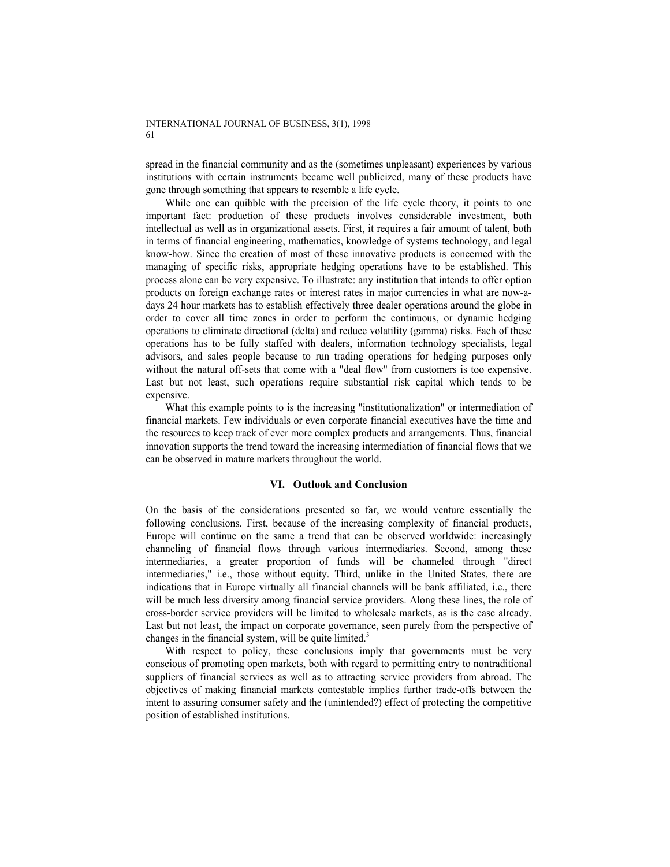spread in the financial community and as the (sometimes unpleasant) experiences by various institutions with certain instruments became well publicized, many of these products have gone through something that appears to resemble a life cycle.

While one can quibble with the precision of the life cycle theory, it points to one important fact: production of these products involves considerable investment, both intellectual as well as in organizational assets. First, it requires a fair amount of talent, both in terms of financial engineering, mathematics, knowledge of systems technology, and legal know-how. Since the creation of most of these innovative products is concerned with the managing of specific risks, appropriate hedging operations have to be established. This process alone can be very expensive. To illustrate: any institution that intends to offer option products on foreign exchange rates or interest rates in major currencies in what are now-adays 24 hour markets has to establish effectively three dealer operations around the globe in order to cover all time zones in order to perform the continuous, or dynamic hedging operations to eliminate directional (delta) and reduce volatility (gamma) risks. Each of these operations has to be fully staffed with dealers, information technology specialists, legal advisors, and sales people because to run trading operations for hedging purposes only without the natural off-sets that come with a "deal flow" from customers is too expensive. Last but not least, such operations require substantial risk capital which tends to be expensive.

What this example points to is the increasing "institutionalization" or intermediation of financial markets. Few individuals or even corporate financial executives have the time and the resources to keep track of ever more complex products and arrangements. Thus, financial innovation supports the trend toward the increasing intermediation of financial flows that we can be observed in mature markets throughout the world.

### **VI. Outlook and Conclusion**

On the basis of the considerations presented so far, we would venture essentially the following conclusions. First, because of the increasing complexity of financial products, Europe will continue on the same a trend that can be observed worldwide: increasingly channeling of financial flows through various intermediaries. Second, among these intermediaries, a greater proportion of funds will be channeled through "direct intermediaries," i.e., those without equity. Third, unlike in the United States, there are indications that in Europe virtually all financial channels will be bank affiliated, i.e., there will be much less diversity among financial service providers. Along these lines, the role of cross-border service providers will be limited to wholesale markets, as is the case already. Last but not least, the impact on corporate governance, seen purely from the perspective of changes in the financial system, will be quite limited. $3$ 

With respect to policy, these conclusions imply that governments must be very conscious of promoting open markets, both with regard to permitting entry to nontraditional suppliers of financial services as well as to attracting service providers from abroad. The objectives of making financial markets contestable implies further trade-offs between the intent to assuring consumer safety and the (unintended?) effect of protecting the competitive position of established institutions.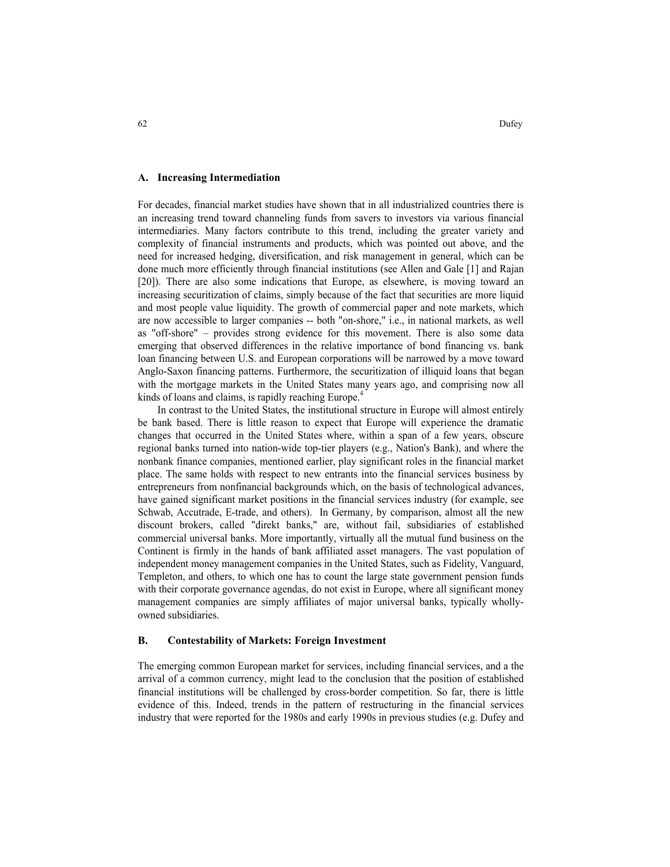### **A. Increasing Intermediation**

For decades, financial market studies have shown that in all industrialized countries there is an increasing trend toward channeling funds from savers to investors via various financial intermediaries. Many factors contribute to this trend, including the greater variety and complexity of financial instruments and products, which was pointed out above, and the need for increased hedging, diversification, and risk management in general, which can be done much more efficiently through financial institutions (see Allen and Gale [1] and Rajan [20]). There are also some indications that Europe, as elsewhere, is moving toward an increasing securitization of claims, simply because of the fact that securities are more liquid and most people value liquidity. The growth of commercial paper and note markets, which are now accessible to larger companies -- both "on-shore," i.e., in national markets, as well as "off-shore" – provides strong evidence for this movement. There is also some data emerging that observed differences in the relative importance of bond financing vs. bank loan financing between U.S. and European corporations will be narrowed by a move toward Anglo-Saxon financing patterns. Furthermore, the securitization of illiquid loans that began with the mortgage markets in the United States many years ago, and comprising now all kinds of loans and claims, is rapidly reaching Europe.<sup>4</sup>

In contrast to the United States, the institutional structure in Europe will almost entirely be bank based. There is little reason to expect that Europe will experience the dramatic changes that occurred in the United States where, within a span of a few years, obscure regional banks turned into nation-wide top-tier players (e.g., Nation's Bank), and where the nonbank finance companies, mentioned earlier, play significant roles in the financial market place. The same holds with respect to new entrants into the financial services business by entrepreneurs from nonfinancial backgrounds which, on the basis of technological advances, have gained significant market positions in the financial services industry (for example, see Schwab, Accutrade, E-trade, and others). In Germany, by comparison, almost all the new discount brokers, called "direkt banks," are, without fail, subsidiaries of established commercial universal banks. More importantly, virtually all the mutual fund business on the Continent is firmly in the hands of bank affiliated asset managers. The vast population of independent money management companies in the United States, such as Fidelity, Vanguard, Templeton, and others, to which one has to count the large state government pension funds with their corporate governance agendas, do not exist in Europe, where all significant money management companies are simply affiliates of major universal banks, typically whollyowned subsidiaries.

### **B. Contestability of Markets: Foreign Investment**

The emerging common European market for services, including financial services, and a the arrival of a common currency, might lead to the conclusion that the position of established financial institutions will be challenged by cross-border competition. So far, there is little evidence of this. Indeed, trends in the pattern of restructuring in the financial services industry that were reported for the 1980s and early 1990s in previous studies (e.g. Dufey and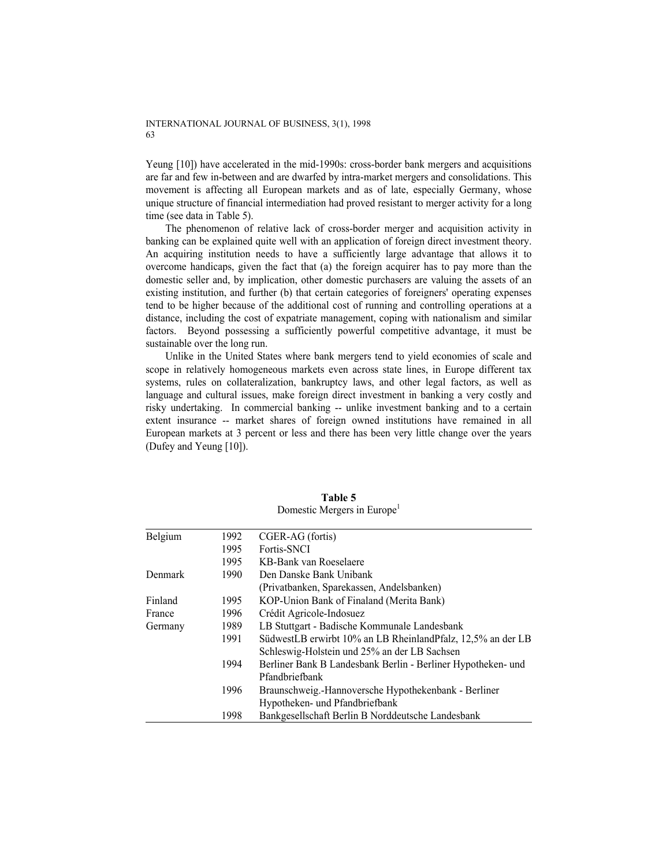Yeung [10]) have accelerated in the mid-1990s: cross-border bank mergers and acquisitions are far and few in-between and are dwarfed by intra-market mergers and consolidations. This movement is affecting all European markets and as of late, especially Germany, whose unique structure of financial intermediation had proved resistant to merger activity for a long time (see data in Table 5).

The phenomenon of relative lack of cross-border merger and acquisition activity in banking can be explained quite well with an application of foreign direct investment theory. An acquiring institution needs to have a sufficiently large advantage that allows it to overcome handicaps, given the fact that (a) the foreign acquirer has to pay more than the domestic seller and, by implication, other domestic purchasers are valuing the assets of an existing institution, and further (b) that certain categories of foreigners' operating expenses tend to be higher because of the additional cost of running and controlling operations at a distance, including the cost of expatriate management, coping with nationalism and similar factors. Beyond possessing a sufficiently powerful competitive advantage, it must be sustainable over the long run.

Unlike in the United States where bank mergers tend to yield economies of scale and scope in relatively homogeneous markets even across state lines, in Europe different tax systems, rules on collateralization, bankruptcy laws, and other legal factors, as well as language and cultural issues, make foreign direct investment in banking a very costly and risky undertaking. In commercial banking -- unlike investment banking and to a certain extent insurance -- market shares of foreign owned institutions have remained in all European markets at 3 percent or less and there has been very little change over the years (Dufey and Yeung [10]).

| Belgium | 1992 | CGER-AG (fortis)                                             |
|---------|------|--------------------------------------------------------------|
|         | 1995 | Fortis-SNCI                                                  |
|         | 1995 | KB-Bank van Roeselaere                                       |
| Denmark | 1990 | Den Danske Bank Unibank                                      |
|         |      | (Privatbanken, Sparekassen, Andelsbanken)                    |
| Finland | 1995 | KOP-Union Bank of Finaland (Merita Bank)                     |
| France  | 1996 | Crédit Agricole-Indosuez                                     |
| Germany | 1989 | LB Stuttgart - Badische Kommunale Landesbank                 |
|         | 1991 | SüdwestLB erwirbt 10% an LB RheinlandPfalz, 12,5% an der LB  |
|         |      | Schleswig-Holstein und 25% an der LB Sachsen                 |
|         | 1994 | Berliner Bank B Landesbank Berlin - Berliner Hypotheken- und |
|         |      | Pfandbriefbank                                               |
|         | 1996 | Braunschweig.-Hannoversche Hypothekenbank - Berliner         |
|         |      | Hypotheken- und Pfandbriefbank                               |
|         | 1998 | Bankgesellschaft Berlin B Norddeutsche Landesbank            |

**Table 5**  Domestic Mergers in Europe<sup>1</sup>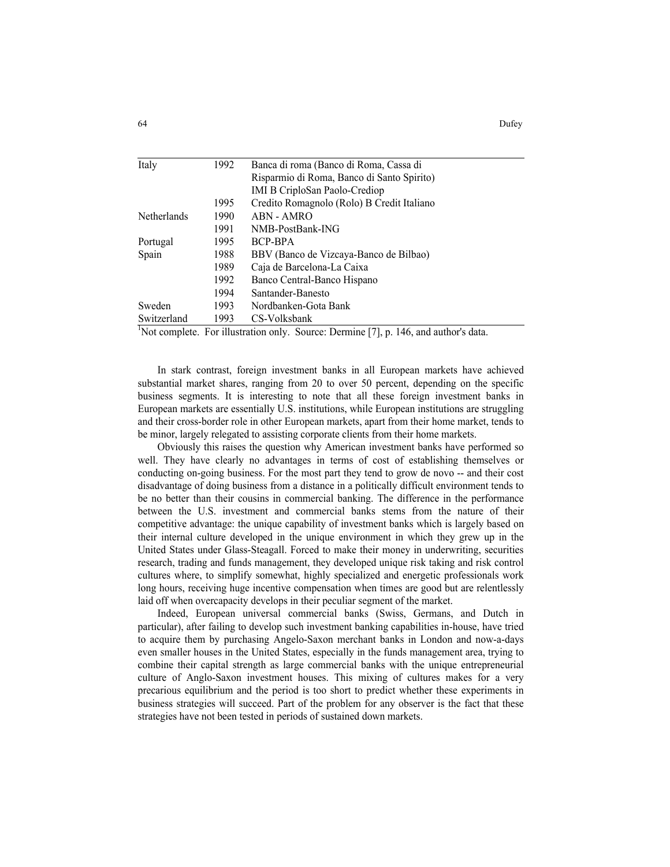| Italy       | 1992 | Banca di roma (Banco di Roma, Cassa di                                                            |
|-------------|------|---------------------------------------------------------------------------------------------------|
|             |      | Risparmio di Roma, Banco di Santo Spirito)                                                        |
|             |      | <b>IMI B CriploSan Paolo-Crediop</b>                                                              |
|             | 1995 | Credito Romagnolo (Rolo) B Credit Italiano                                                        |
| Netherlands | 1990 | ABN - AMRO                                                                                        |
|             | 1991 | NMB-PostBank-ING                                                                                  |
| Portugal    | 1995 | BCP-BPA                                                                                           |
| Spain       | 1988 | BBV (Banco de Vizcaya-Banco de Bilbao)                                                            |
|             | 1989 | Caja de Barcelona-La Caixa                                                                        |
|             | 1992 | Banco Central-Banco Hispano                                                                       |
|             | 1994 | Santander-Banesto                                                                                 |
| Sweden      | 1993 | Nordbanken-Gota Bank                                                                              |
| Switzerland | 1993 | CS-Volksbank                                                                                      |
|             |      | <sup>1</sup> Not complete. For illustration only. Source: Dermine [7], p. 146, and author's data. |

In stark contrast, foreign investment banks in all European markets have achieved substantial market shares, ranging from 20 to over 50 percent, depending on the specific business segments. It is interesting to note that all these foreign investment banks in European markets are essentially U.S. institutions, while European institutions are struggling and their cross-border role in other European markets, apart from their home market, tends to be minor, largely relegated to assisting corporate clients from their home markets.

Obviously this raises the question why American investment banks have performed so well. They have clearly no advantages in terms of cost of establishing themselves or conducting on-going business. For the most part they tend to grow de novo -- and their cost disadvantage of doing business from a distance in a politically difficult environment tends to be no better than their cousins in commercial banking. The difference in the performance between the U.S. investment and commercial banks stems from the nature of their competitive advantage: the unique capability of investment banks which is largely based on their internal culture developed in the unique environment in which they grew up in the United States under Glass-Steagall. Forced to make their money in underwriting, securities research, trading and funds management, they developed unique risk taking and risk control cultures where, to simplify somewhat, highly specialized and energetic professionals work long hours, receiving huge incentive compensation when times are good but are relentlessly laid off when overcapacity develops in their peculiar segment of the market.

Indeed, European universal commercial banks (Swiss, Germans, and Dutch in particular), after failing to develop such investment banking capabilities in-house, have tried to acquire them by purchasing Angelo-Saxon merchant banks in London and now-a-days even smaller houses in the United States, especially in the funds management area, trying to combine their capital strength as large commercial banks with the unique entrepreneurial culture of Anglo-Saxon investment houses. This mixing of cultures makes for a very precarious equilibrium and the period is too short to predict whether these experiments in business strategies will succeed. Part of the problem for any observer is the fact that these strategies have not been tested in periods of sustained down markets.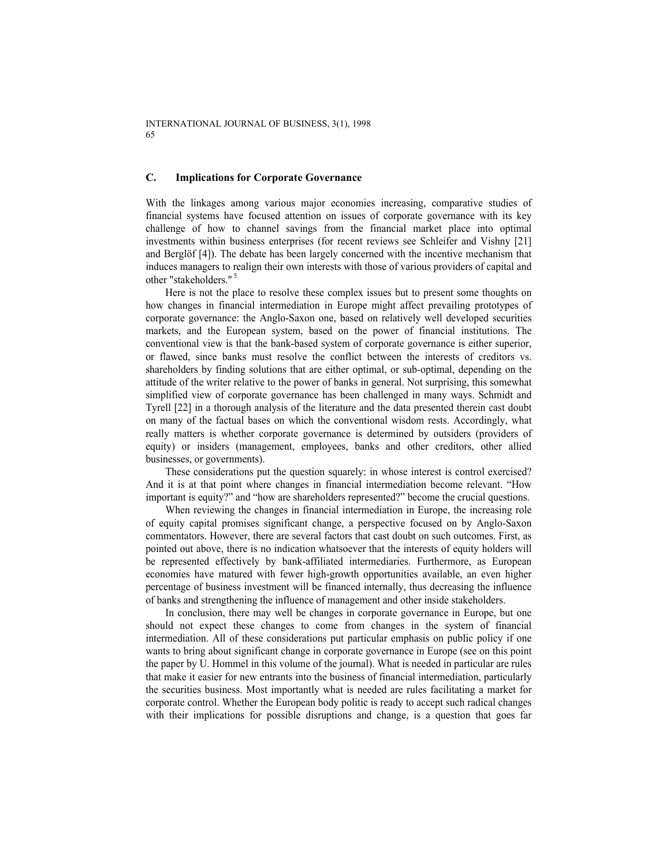### **C. Implications for Corporate Governance**

With the linkages among various major economies increasing, comparative studies of financial systems have focused attention on issues of corporate governance with its key challenge of how to channel savings from the financial market place into optimal investments within business enterprises (for recent reviews see Schleifer and Vishny [21] and Berglöf [4]). The debate has been largely concerned with the incentive mechanism that induces managers to realign their own interests with those of various providers of capital and other "stakeholders."<sup>5</sup>

Here is not the place to resolve these complex issues but to present some thoughts on how changes in financial intermediation in Europe might affect prevailing prototypes of corporate governance: the Anglo-Saxon one, based on relatively well developed securities markets, and the European system, based on the power of financial institutions. The conventional view is that the bank-based system of corporate governance is either superior, or flawed, since banks must resolve the conflict between the interests of creditors vs. shareholders by finding solutions that are either optimal, or sub-optimal, depending on the attitude of the writer relative to the power of banks in general. Not surprising, this somewhat simplified view of corporate governance has been challenged in many ways. Schmidt and Tyrell [22] in a thorough analysis of the literature and the data presented therein cast doubt on many of the factual bases on which the conventional wisdom rests. Accordingly, what really matters is whether corporate governance is determined by outsiders (providers of equity) or insiders (management, employees, banks and other creditors, other allied businesses, or governments).

These considerations put the question squarely: in whose interest is control exercised? And it is at that point where changes in financial intermediation become relevant. "How important is equity?" and "how are shareholders represented?" become the crucial questions.

When reviewing the changes in financial intermediation in Europe, the increasing role of equity capital promises significant change, a perspective focused on by Anglo-Saxon commentators. However, there are several factors that cast doubt on such outcomes. First, as pointed out above, there is no indication whatsoever that the interests of equity holders will be represented effectively by bank-affiliated intermediaries. Furthermore, as European economies have matured with fewer high-growth opportunities available, an even higher percentage of business investment will be financed internally, thus decreasing the influence of banks and strengthening the influence of management and other inside stakeholders.

In conclusion, there may well be changes in corporate governance in Europe, but one should not expect these changes to come from changes in the system of financial intermediation. All of these considerations put particular emphasis on public policy if one wants to bring about significant change in corporate governance in Europe (see on this point the paper by U. Hommel in this volume of the journal). What is needed in particular are rules that make it easier for new entrants into the business of financial intermediation, particularly the securities business. Most importantly what is needed are rules facilitating a market for corporate control. Whether the European body politic is ready to accept such radical changes with their implications for possible disruptions and change, is a question that goes far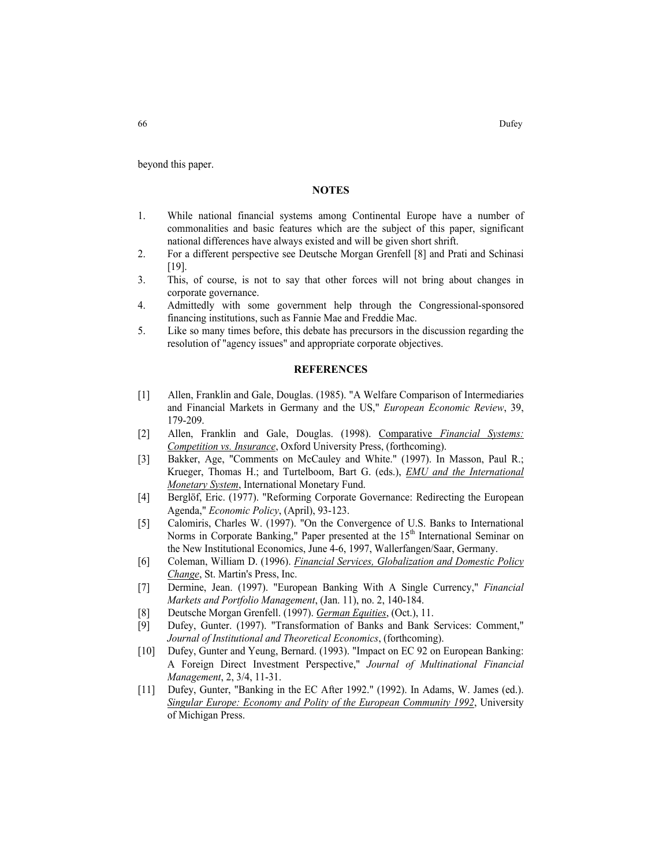beyond this paper.

### **NOTES**

- 1. While national financial systems among Continental Europe have a number of commonalities and basic features which are the subject of this paper, significant national differences have always existed and will be given short shrift.
- 2. For a different perspective see Deutsche Morgan Grenfell [8] and Prati and Schinasi [19].
- 3. This, of course, is not to say that other forces will not bring about changes in corporate governance.
- 4. Admittedly with some government help through the Congressional-sponsored financing institutions, such as Fannie Mae and Freddie Mac.
- 5. Like so many times before, this debate has precursors in the discussion regarding the resolution of "agency issues" and appropriate corporate objectives.

### **REFERENCES**

- [1] Allen, Franklin and Gale, Douglas. (1985). "A Welfare Comparison of Intermediaries and Financial Markets in Germany and the US," *European Economic Review*, 39, 179-209.
- [2] Allen, Franklin and Gale, Douglas. (1998). Comparative *Financial Systems: Competition vs. Insurance*, Oxford University Press, (forthcoming).
- [3] Bakker, Age, "Comments on McCauley and White." (1997). In Masson, Paul R.; Krueger, Thomas H.; and Turtelboom, Bart G. (eds.), *EMU and the International Monetary System*, International Monetary Fund.
- [4] Berglöf, Eric. (1977). "Reforming Corporate Governance: Redirecting the European Agenda," *Economic Policy*, (April), 93-123.
- [5] Calomiris, Charles W. (1997). "On the Convergence of U.S. Banks to International Norms in Corporate Banking," Paper presented at the 15<sup>th</sup> International Seminar on the New Institutional Economics, June 4-6, 1997, Wallerfangen/Saar, Germany.
- [6] Coleman, William D. (1996). *Financial Services, Globalization and Domestic Policy Change*, St. Martin's Press, Inc.
- [7] Dermine, Jean. (1997). "European Banking With A Single Currency," *Financial Markets and Portfolio Management*, (Jan. 11), no. 2, 140-184.
- [8] Deutsche Morgan Grenfell. (1997). *German Equities*, (Oct.), 11.
- [9] Dufey, Gunter. (1997). "Transformation of Banks and Bank Services: Comment," *Journal of Institutional and Theoretical Economics*, (forthcoming).
- [10] Dufey, Gunter and Yeung, Bernard. (1993). "Impact on EC 92 on European Banking: A Foreign Direct Investment Perspective," *Journal of Multinational Financial Management*, 2, 3/4, 11-31.
- [11] Dufey, Gunter, "Banking in the EC After 1992." (1992). In Adams, W. James (ed.). *Singular Europe: Economy and Polity of the European Community 1992*, University of Michigan Press.